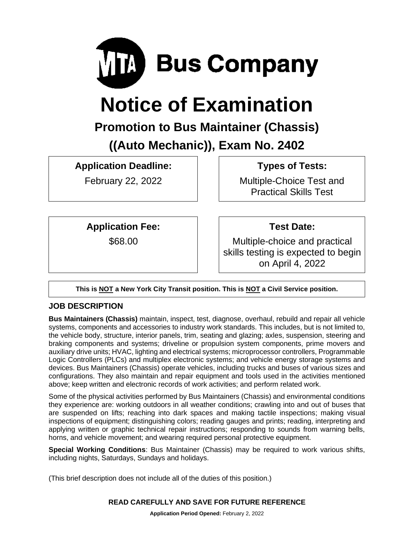

# **Notice of Examination**

# **Promotion to Bus Maintainer (Chassis)**

**((Auto Mechanic)), Exam No. 2402**

**Application Deadline:**

February 22, 2022

**Types of Tests:** 

Multiple-Choice Test and Practical Skills Test

**Application Fee:**

\$68.00

**Test Date:**

Multiple-choice and practical skills testing is expected to begin on April 4, 2022

**This is NOT a New York City Transit position. This is NOT a Civil Service position.**

# **JOB DESCRIPTION**

**Bus Maintainers (Chassis)** maintain, inspect, test, diagnose, overhaul, rebuild and repair all vehicle systems, components and accessories to industry work standards. This includes, but is not limited to, the vehicle body, structure, interior panels, trim, seating and glazing; axles, suspension, steering and braking components and systems; driveline or propulsion system components, prime movers and auxiliary drive units; HVAC, lighting and electrical systems; microprocessor controllers, Programmable Logic Controllers (PLCs) and multiplex electronic systems; and vehicle energy storage systems and devices. Bus Maintainers (Chassis) operate vehicles, including trucks and buses of various sizes and configurations. They also maintain and repair equipment and tools used in the activities mentioned above; keep written and electronic records of work activities; and perform related work.

Some of the physical activities performed by Bus Maintainers (Chassis) and environmental conditions they experience are: working outdoors in all weather conditions; crawling into and out of buses that are suspended on lifts; reaching into dark spaces and making tactile inspections; making visual inspections of equipment; distinguishing colors; reading gauges and prints; reading, interpreting and applying written or graphic technical repair instructions; responding to sounds from warning bells, horns, and vehicle movement; and wearing required personal protective equipment.

**Special Working Conditions**: Bus Maintainer (Chassis) may be required to work various shifts, including nights, Saturdays, Sundays and holidays.

(This brief description does not include all of the duties of this position.)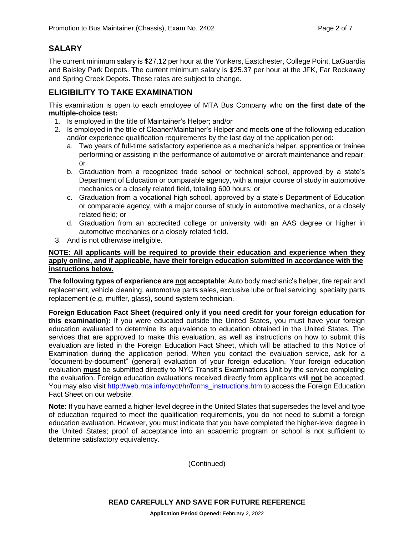# **SALARY**

The current minimum salary is \$27.12 per hour at the Yonkers, Eastchester, College Point, LaGuardia and Baisley Park Depots. The current minimum salary is \$25.37 per hour at the JFK, Far Rockaway and Spring Creek Depots. These rates are subject to change.

# **ELIGIBILITY TO TAKE EXAMINATION**

This examination is open to each employee of MTA Bus Company who **on the first date of the multiple-choice test:**

- 1. Is employed in the title of Maintainer's Helper; and/or
- 2. Is employed in the title of Cleaner/Maintainer's Helper and meets **one** of the following education and/or experience qualification requirements by the last day of the application period:
	- a. Two years of full-time satisfactory experience as a mechanic's helper, apprentice or trainee performing or assisting in the performance of automotive or aircraft maintenance and repair; or
	- b. Graduation from a recognized trade school or technical school, approved by a state's Department of Education or comparable agency, with a major course of study in automotive mechanics or a closely related field, totaling 600 hours; or
	- c. Graduation from a vocational high school, approved by a state's Department of Education or comparable agency, with a major course of study in automotive mechanics, or a closely related field; or
	- d. Graduation from an accredited college or university with an AAS degree or higher in automotive mechanics or a closely related field.
- 3. And is not otherwise ineligible.

#### **NOTE: All applicants will be required to provide their education and experience when they apply online, and if applicable, have their foreign education submitted in accordance with the instructions below.**

**The following types of experience are not acceptable**: Auto body mechanic's helper, tire repair and replacement, vehicle cleaning, automotive parts sales, exclusive lube or fuel servicing, specialty parts replacement (e.g. muffler, glass), sound system technician.

**Foreign Education Fact Sheet (required only if you need credit for your foreign education for this examination):** If you were educated outside the United States, you must have your foreign education evaluated to determine its equivalence to education obtained in the United States. The services that are approved to make this evaluation, as well as instructions on how to submit this evaluation are listed in the Foreign Education Fact Sheet, which will be attached to this Notice of Examination during the application period. When you contact the evaluation service, ask for a "document-by-document" (general) evaluation of your foreign education. Your foreign education evaluation **must** be submitted directly to NYC Transit's Examinations Unit by the service completing the evaluation. Foreign education evaluations received directly from applicants will **not** be accepted. You may also visit [http://web.mta.info/nyct/hr/forms\\_instructions.htm](http://web.mta.info/nyct/hr/forms_instructions.htm) to access the Foreign Education Fact Sheet on our website.

**Note:** If you have earned a higher-level degree in the United States that supersedes the level and type of education required to meet the qualification requirements, you do not need to submit a foreign education evaluation. However, you must indicate that you have completed the higher-level degree in the United States; proof of acceptance into an academic program or school is not sufficient to determine satisfactory equivalency.

(Continued)

**READ CAREFULLY AND SAVE FOR FUTURE REFERENCE**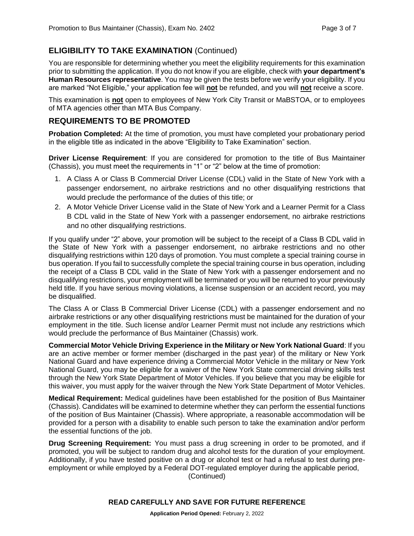# **ELIGIBILITY TO TAKE EXAMINATION** (Continued)

You are responsible for determining whether you meet the eligibility requirements for this examination prior to submitting the application. If you do not know if you are eligible, check with **your department's Human Resources representative**. You may be given the tests before we verify your eligibility. If you are marked "Not Eligible," your application fee will **not** be refunded, and you will **not** receive a score.

This examination is **not** open to employees of New York City Transit or MaBSTOA, or to employees of MTA agencies other than MTA Bus Company.

#### **REQUIREMENTS TO BE PROMOTED**

**Probation Completed:** At the time of promotion, you must have completed your probationary period in the eligible title as indicated in the above "Eligibility to Take Examination" section.

**Driver License Requirement**: If you are considered for promotion to the title of Bus Maintainer (Chassis), you must meet the requirements in "1" or "2" below at the time of promotion:

- 1. A Class A or Class B Commercial Driver License (CDL) valid in the State of New York with a passenger endorsement, no airbrake restrictions and no other disqualifying restrictions that would preclude the performance of the duties of this title; or
- 2. A Motor Vehicle Driver License valid in the State of New York and a Learner Permit for a Class B CDL valid in the State of New York with a passenger endorsement, no airbrake restrictions and no other disqualifying restrictions.

If you qualify under "2" above, your promotion will be subject to the receipt of a Class B CDL valid in the State of New York with a passenger endorsement, no airbrake restrictions and no other disqualifying restrictions within 120 days of promotion. You must complete a special training course in bus operation. If you fail to successfully complete the special training course in bus operation, including the receipt of a Class B CDL valid in the State of New York with a passenger endorsement and no disqualifying restrictions, your employment will be terminated or you will be returned to your previously held title. If you have serious moving violations, a license suspension or an accident record, you may be disqualified.

The Class A or Class B Commercial Driver License (CDL) with a passenger endorsement and no airbrake restrictions or any other disqualifying restrictions must be maintained for the duration of your employment in the title. Such license and/or Learner Permit must not include any restrictions which would preclude the performance of Bus Maintainer (Chassis) work.

**Commercial Motor Vehicle Driving Experience in the Military or New York National Guard**: If you are an active member or former member (discharged in the past year) of the military or New York National Guard and have experience driving a Commercial Motor Vehicle in the military or New York National Guard, you may be eligible for a waiver of the New York State commercial driving skills test through the New York State Department of Motor Vehicles. If you believe that you may be eligible for this waiver, you must apply for the waiver through the New York State Department of Motor Vehicles.

**Medical Requirement:** Medical guidelines have been established for the position of Bus Maintainer (Chassis). Candidates will be examined to determine whether they can perform the essential functions of the position of Bus Maintainer (Chassis). Where appropriate, a reasonable accommodation will be provided for a person with a disability to enable such person to take the examination and/or perform the essential functions of the job.

**Drug Screening Requirement:** You must pass a drug screening in order to be promoted, and if promoted, you will be subject to random drug and alcohol tests for the duration of your employment. Additionally, if you have tested positive on a drug or alcohol test or had a refusal to test during preemployment or while employed by a Federal DOT-regulated employer during the applicable period, (Continued)

#### **READ CAREFULLY AND SAVE FOR FUTURE REFERENCE**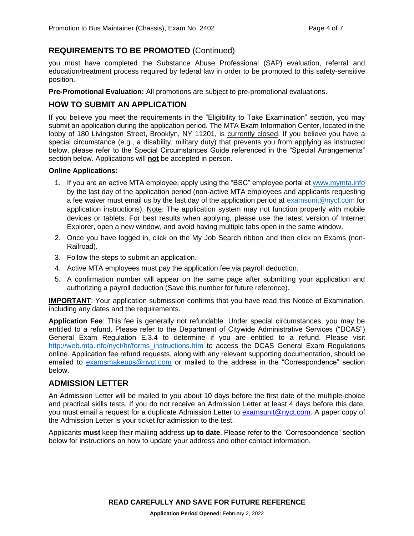# **REQUIREMENTS TO BE PROMOTED** (Continued)

you must have completed the Substance Abuse Professional (SAP) evaluation, referral and education/treatment process required by federal law in order to be promoted to this safety-sensitive position.

**Pre-Promotional Evaluation:** All promotions are subject to pre-promotional evaluations.

# **HOW TO SUBMIT AN APPLICATION**

If you believe you meet the requirements in the "Eligibility to Take Examination" section, you may submit an application during the application period. The MTA Exam Information Center, located in the lobby of 180 Livingston Street, Brooklyn, NY 11201, is currently closed. If you believe you have a special circumstance (e.g., a disability, military duty) that prevents you from applying as instructed below, please refer to the Special Circumstances Guide referenced in the "Special Arrangements" section below. Applications will **not** be accepted in person.

#### **Online Applications:**

- 1. If you are an active MTA employee, apply using the "BSC" employee portal at [www.mymta.info](http://www.mymta.info/) by the last day of the application period (non-active MTA employees and applicants requesting a fee waiver must email us by the last day of the application period at [examsunit@nyct.com](mailto:examsunit@nyct.com) for application instructions). Note: The application system may not function properly with mobile devices or tablets. For best results when applying, please use the latest version of Internet Explorer, open a new window, and avoid having multiple tabs open in the same window.
- 2. Once you have logged in, click on the My Job Search ribbon and then click on Exams (non-Railroad).
- 3. Follow the steps to submit an application.
- 4. Active MTA employees must pay the application fee via payroll deduction.
- 5. A confirmation number will appear on the same page after submitting your application and authorizing a payroll deduction (Save this number for future reference).

**IMPORTANT**: Your application submission confirms that you have read this Notice of Examination, including any dates and the requirements.

**Application Fee**: This fee is generally not refundable. Under special circumstances, you may be entitled to a refund. Please refer to the Department of Citywide Administrative Services ("DCAS") General Exam Regulation E.3.4 to determine if you are entitled to a refund. Please visit [http://web.mta.info/nyct/hr/forms\\_instructions.htm](http://web.mta.info/nyct/hr/forms_instructions.htm) to access the DCAS General Exam Regulations online. Application fee refund requests, along with any relevant supporting documentation, should be emailed to [examsmakeups@nyct.com](mailto:examsmakeups@nyct.com) or mailed to the address in the "Correspondence" section below.

#### **ADMISSION LETTER**

An Admission Letter will be mailed to you about 10 days before the first date of the multiple-choice and practical skills tests. If you do not receive an Admission Letter at least 4 days before this date, you must email a request for a duplicate Admission Letter to [examsunit@nyct.com.](mailto:examsunit@nyct.com) A paper copy of the Admission Letter is your ticket for admission to the test.

Applicants **must** keep their mailing address **up to date**. Please refer to the "Correspondence" section below for instructions on how to update your address and other contact information.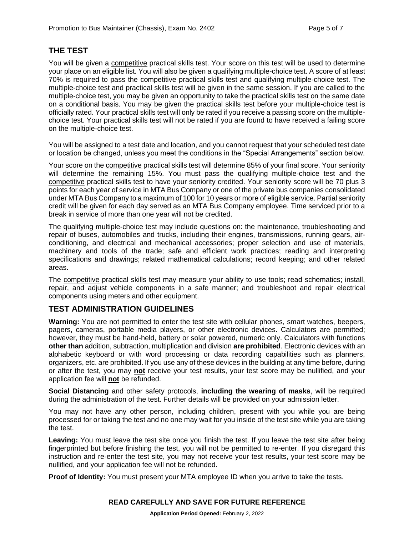# **THE TEST**

You will be given a competitive practical skills test. Your score on this test will be used to determine your place on an eligible list. You will also be given a qualifying multiple-choice test. A score of at least 70% is required to pass the competitive practical skills test and qualifying multiple-choice test. The multiple-choice test and practical skills test will be given in the same session. If you are called to the multiple-choice test, you may be given an opportunity to take the practical skills test on the same date on a conditional basis. You may be given the practical skills test before your multiple-choice test is officially rated. Your practical skills test will only be rated if you receive a passing score on the multiplechoice test. Your practical skills test will not be rated if you are found to have received a failing score on the multiple-choice test.

You will be assigned to a test date and location, and you cannot request that your scheduled test date or location be changed, unless you meet the conditions in the "Special Arrangements" section below.

Your score on the competitive practical skills test will determine 85% of your final score. Your seniority will determine the remaining 15%. You must pass the **qualifying multiple-choice test and the** competitive practical skills test to have your seniority credited. Your seniority score will be 70 plus 3 points for each year of service in MTA Bus Company or one of the private bus companies consolidated under MTA Bus Company to a maximum of 100 for 10 years or more of eligible service. Partial seniority credit will be given for each day served as an MTA Bus Company employee. Time serviced prior to a break in service of more than one year will not be credited.

The qualifying multiple-choice test may include questions on: the maintenance, troubleshooting and repair of buses, automobiles and trucks, including their engines, transmissions, running gears, airconditioning, and electrical and mechanical accessories; proper selection and use of materials, machinery and tools of the trade; safe and efficient work practices; reading and interpreting specifications and drawings; related mathematical calculations; record keeping; and other related areas.

The competitive practical skills test may measure your ability to use tools; read schematics; install, repair, and adjust vehicle components in a safe manner; and troubleshoot and repair electrical components using meters and other equipment.

#### **TEST ADMINISTRATION GUIDELINES**

**Warning:** You are not permitted to enter the test site with cellular phones, smart watches, beepers, pagers, cameras, portable media players, or other electronic devices. Calculators are permitted; however, they must be hand-held, battery or solar powered, numeric only. Calculators with functions **other than** addition, subtraction, multiplication and division **are prohibited**. Electronic devices with an alphabetic keyboard or with word processing or data recording capabilities such as planners, organizers, etc. are prohibited. If you use any of these devices in the building at any time before, during or after the test, you may **not** receive your test results, your test score may be nullified, and your application fee will **not** be refunded.

**Social Distancing** and other safety protocols, **including the wearing of masks**, will be required during the administration of the test. Further details will be provided on your admission letter.

You may not have any other person, including children, present with you while you are being processed for or taking the test and no one may wait for you inside of the test site while you are taking the test.

**Leaving:** You must leave the test site once you finish the test. If you leave the test site after being fingerprinted but before finishing the test, you will not be permitted to re-enter. If you disregard this instruction and re-enter the test site, you may not receive your test results, your test score may be nullified, and your application fee will not be refunded.

**Proof of Identity:** You must present your MTA employee ID when you arrive to take the tests.

# **READ CAREFULLY AND SAVE FOR FUTURE REFERENCE**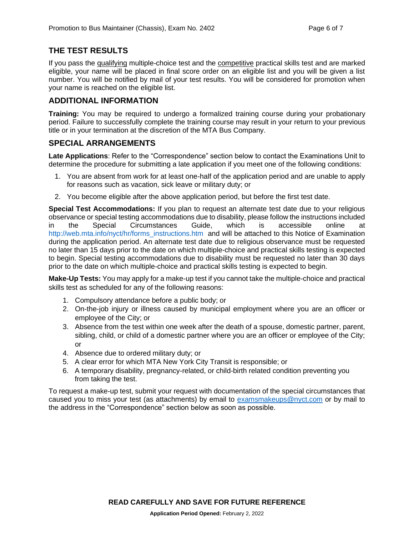# **THE TEST RESULTS**

If you pass the qualifying multiple-choice test and the competitive practical skills test and are marked eligible, your name will be placed in final score order on an eligible list and you will be given a list number. You will be notified by mail of your test results. You will be considered for promotion when your name is reached on the eligible list.

# **ADDITIONAL INFORMATION**

**Training:** You may be required to undergo a formalized training course during your probationary period. Failure to successfully complete the training course may result in your return to your previous title or in your termination at the discretion of the MTA Bus Company.

#### **SPECIAL ARRANGEMENTS**

**Late Applications**: Refer to the "Correspondence" section below to contact the Examinations Unit to determine the procedure for submitting a late application if you meet one of the following conditions:

- 1. You are absent from work for at least one-half of the application period and are unable to apply for reasons such as vacation, sick leave or military duty; or
- 2. You become eligible after the above application period, but before the first test date.

**Special Test Accommodations:** If you plan to request an alternate test date due to your religious observance or special testing accommodations due to disability, please follow the instructions included in the Special Circumstances Guide, which is accessible online at [http://web.mta.info/nyct/hr/forms\\_instructions.htm](http://web.mta.info/nyct/hr/forms_instructions.htm) and will be attached to this Notice of Examination during the application period. An alternate test date due to religious observance must be requested no later than 15 days prior to the date on which multiple-choice and practical skills testing is expected to begin. Special testing accommodations due to disability must be requested no later than 30 days prior to the date on which multiple-choice and practical skills testing is expected to begin.

**Make-Up Tests:** You may apply for a make-up test if you cannot take the multiple-choice and practical skills test as scheduled for any of the following reasons:

- 1. Compulsory attendance before a public body; or
- 2. On-the-job injury or illness caused by municipal employment where you are an officer or employee of the City; or
- 3. Absence from the test within one week after the death of a spouse, domestic partner, parent, sibling, child, or child of a domestic partner where you are an officer or employee of the City; or
- 4. Absence due to ordered military duty; or
- 5. A clear error for which MTA New York City Transit is responsible; or
- 6. A temporary disability, pregnancy-related, or child-birth related condition preventing you from taking the test.

To request a make-up test, submit your request with documentation of the special circumstances that caused you to miss your test (as attachments) by email to [examsmakeups@nyct.com](mailto:examsmakeups@nyct.com) or by mail to the address in the "Correspondence" section below as soon as possible.